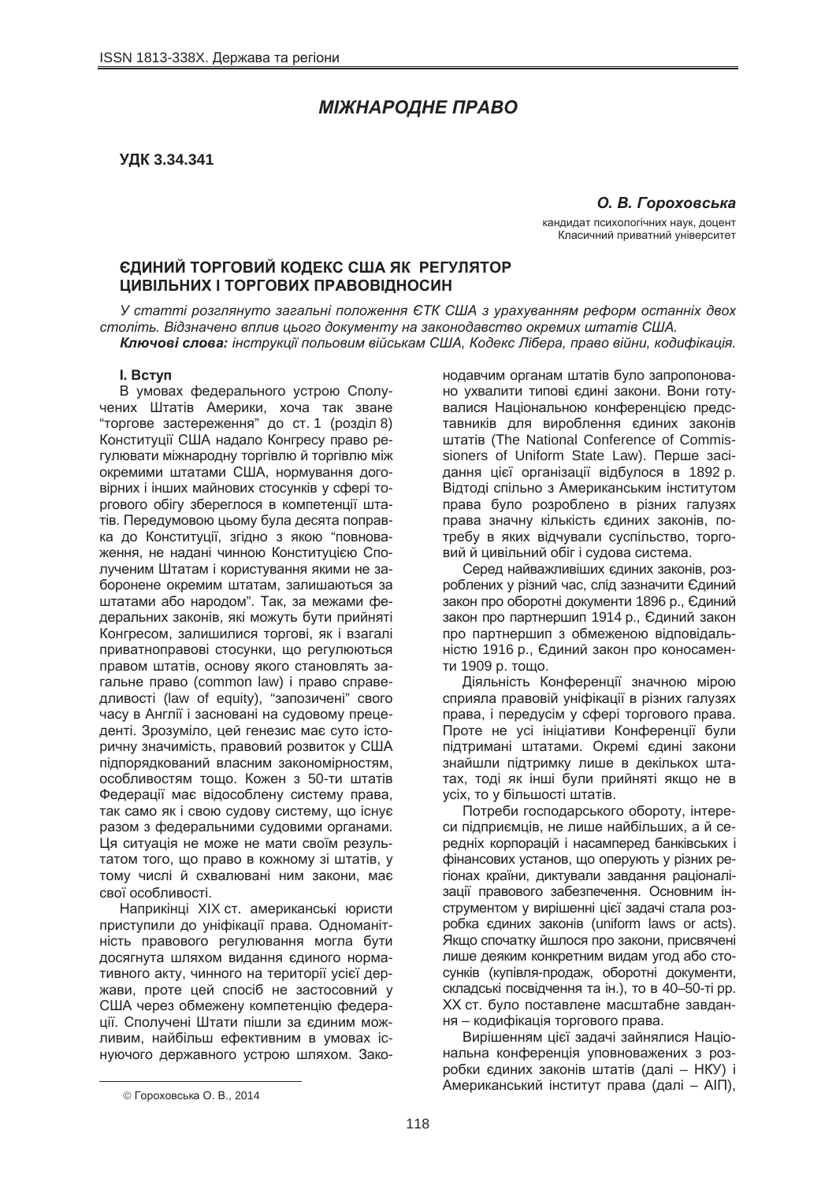# *ɆȱɀɇȺɊɈȾɇȿ ɉɊȺȼɈ*

**ɍȾɄ 3.34.341**

**О. В. Гороховська** кандидат психологічних наук, доцент Класичний приватний університет

# $C$ ДИНИЙ ТОРГОВИЙ КОДЕКС США ЯК РЕГУЛЯТОР **ИИВІЛЬНИХ І ТОРГОВИХ ПРАВОВІДНОСИН**

У статті розглянуто загальні положення ЄТК США з урахуванням реформ останніх двох  $c$ *mоліть. Відзначено вплив цього документу на законодавство окремих штатів США.* Ключові слова: інструкції польовим військам США, Кодекс Лібера, право війни, кодифікація.

# **l.** Bctyn

В умовах федерального устрою Сполучених Штатів Америки, хоча так зване "торгове застереження" до ст. 1 (розділ 8) Конституції США надало Конгресу право регулювати міжнародну торгівлю й торгівлю між окремими штатами США, нормування договірних і інших майнових стосунків у сфері торгового обігу збереглося в компетенції штатів. Передумовою цьому була десята поправка до Конституції, згідно з якою "повноваження, не надані чинною Конституцією Сполученим Штатам і користування якими не заборонене окремим штатам, залишаються за штатами або народом". Так, за межами федеральних законів, які можуть бути прийняті Конгресом, залишилися торгові, як і взагалі приватноправові стосунки, що регулюються правом штатів, основу якого становлять загальне право (common law) і право справедливості (law of equity), "запозичені" свого часу в Англії і засновані на судовому прецеденті. Зрозуміло, цей генезис має суто історичну значимість, правовий розвиток у США підпорядкований власним закономірностям, особливостям тощо. Кожен з 50-ти штатів Федерації має відособлену систему права, так само як і свою судову систему, що існує разом з федеральними судовими органами. Ця ситуація не може не мати своїм результатом того, що право в кожному зі штатів, у тому числі й схвалювані ним закони, має свої особливості.

Наприкінці XIX ст. американські юристи приступили до уніфікації права. Одноманітність правового регулювання могла бути досягнута шляхом видання єдиного нормативного акту, чинного на території усієї держави, проте цей спосіб не застосовний у США через обмежену компетенцію федерації. Сполучені Штати пішли за єдиним можливим, найбільш ефективним в умовах існуючого державного устрою шляхом. Законодавчим органам штатів було запропоновано ухвалити типові єдині закони. Вони готувалися Національною конференцією представників для вироблення єдиних законів штатів (The National Conference of Commissioners of Uniform State Law). Перше засідання цієї організації відбулося в 1892 р. Відтоді спільно з Американським інститутом права було розроблено в різних галузях права значну кількість єдиних законів, потребу в яких відчували суспільство, торговий й цивільний обіг і судова система.

Серед найважливіших єдиних законів, розроблених у різний час, слід зазначити Єдиний закон про оборотні документи 1896 р., Єдиний закон про партнершип 1914 р., Єдиний закон про партнершип з обмеженою відповідальністю 1916 р., Єдиний закон про коносаменти 1909 р. тощо.

Діяльність Конференції значною мірою сприяла правовій уніфікації в різних галузях права, і передусім у сфері торгового права. Проте не усі ініціативи Конференції були підтримані штатами. Окремі єдині закони знайшли підтримку лише в декількох штатах, тоді як інші були прийняті якщо не в усіх, то у більшості штатів.

Потреби господарського обороту, інтереси підприємців, не лише найбільших, а й середніх корпорацій і насамперед банківських і фінансових установ, що оперують у різних регіонах країни, диктували завдання раціоналізації правового забезпечення. Основним інструментом у вирішенні цієї задачі стала розробка єдиних законів (uniform laws or acts). Якщо спочатку йшлося про закони, присвячені лише деяким конкретним видам угод або стосунків (купівля-продаж, оборотні документи, складські посвідчення та ін.), то в 40–50-ті рр. XX ст. було поставлене масштабне завдання – кодифікація торгового права.

Вирішенням цієї задачі зайнялися Національна конференція уповноважених з розробки єдиних законів штатів (далі – НКУ) і Американський інститут права (далі – АІП),

 $\overline{\phantom{a}}$ 

<sup>©</sup> Гороховська О. В., 2014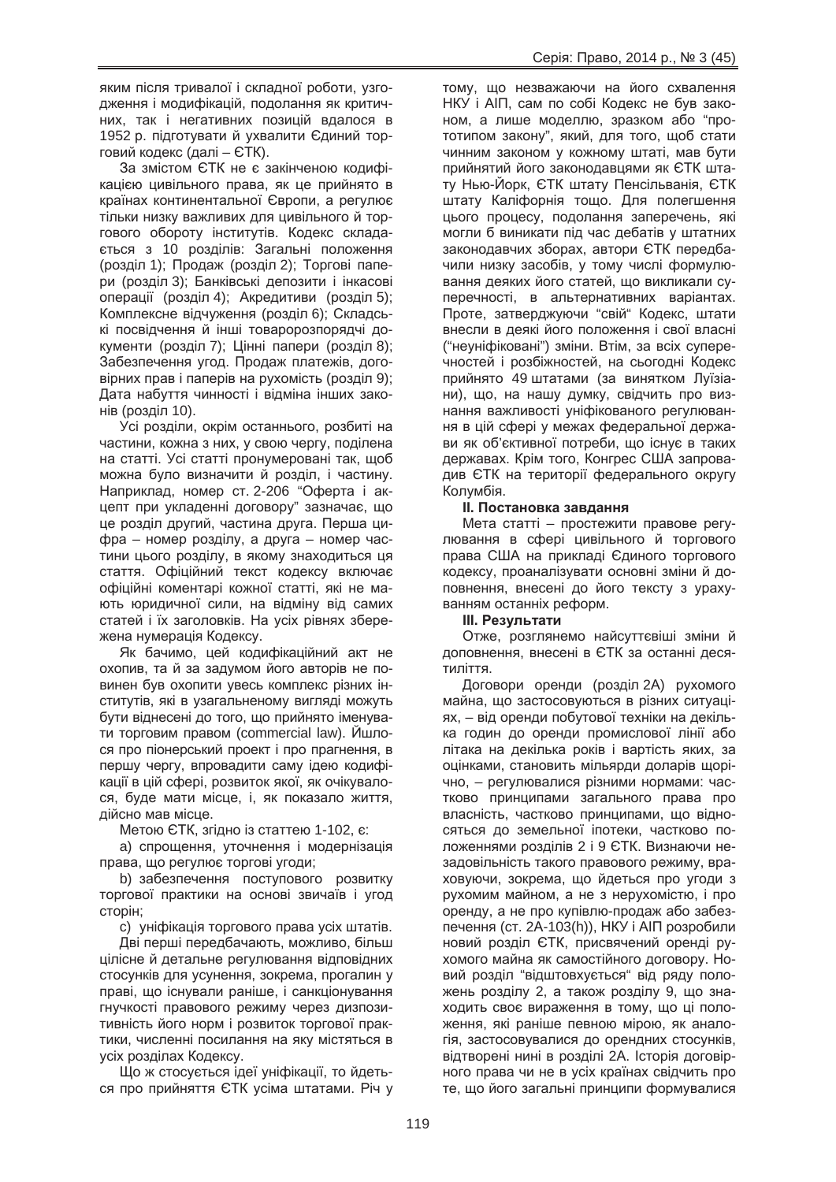За змістом ЄТК не є закінченою кодифікацією цивільного права, як це прийнято в країнах континентальної Європи, а регулює тільки низку важливих для цивільного й торгового обороту інститутів. Кодекс складається з 10 розділів: Загальні положення (розділ 1); Продаж (розділ 2); Торгові папери (розділ 3); Банківські депозити і інкасові операції (розділ 4); Акредитиви (розділ 5); Комплексне відчуження (розділ 6); Складські посвідчення й інші товаророзпорядчі документи (розділ 7); Цінні папери (розділ 8); Забезпечення угод. Продаж платежів, договірних прав і паперів на рухомість (розділ 9); Дата набуття чинності і відміна інших законів (розділ 10).

Усі розділи, окрім останнього, розбиті на частини, кожна з них, у свою чергу, поділена на статті. Усі статті пронумеровані так, щоб можна було визначити й розділ, і частину. Наприклад, номер ст. 2-206 "Оферта і акцепт при укладенні договору" зазначає, що це розділ другий, частина друга. Перша цифра – номер розділу, а друга – номер частини цього розділу, в якому знаходиться ця стаття. Офіційний текст кодексу включає офіційні коментарі кожної статті, які не мають юридичної сили, на відміну від самих статей і їх заголовків. На усіх рівнях збережена нумерація Кодексу.

Як бачимо, цей кодифікаційний акт не охопив, та й за задумом його авторів не повинен був охопити увесь комплекс різних інститутів, які в узагальненому вигляді можуть бути віднесені до того, що прийнято іменувати торговим правом (commercial law). Йшлося про піонерський проект і про прагнення, в першу чергу, впровадити саму ідею кодифікації в цій сфері, розвиток якої, як очікувалося, буде мати місце, і, як показало життя, дійсно мав місце.

Метою ЄТК, згідно із статтею 1-102, є:

а) спрощення, уточнення і модернізація права, що регулює торгові угоди;

b) забезпечення поступового розвитку торгової практики на основі звичаїв і угод сторін;

с) уніфікація торгового права усіх штатів.

Дві перші передбачають, можливо, більш цілісне й детальне регулювання відповідних стосунків для усунення, зокрема, прогалин у праві, що існували раніше, і санкціонування гнучкості правового режиму через дизпозитивність його норм і розвиток торгової практики, численні посилання на яку містяться в vcix розділах Кодексу.

Що ж стосується ідеї уніфікації, то йдеться про прийняття ЄТК усіма штатами. Річ у

тому, що незважаючи на його схвалення НКУ і АІП, сам по собі Кодекс не був законом, а лише моделлю, зразком або "прототипом закону", який, для того, щоб стати чинним законом у кожному штаті, мав бути прийнятий його законодавцями як ЄТК штату Нью-Йорк, ЄТК штату Пенсільванія, ЄТК штату Каліфорнія тощо. Для полегшення цього процесу, подолання заперечень, які могли б виникати під час дебатів у штатних законодавчих зборах, автори ЄТК передбачили низку засобів, у тому числі формулювання деяких його статей, що викликали суперечності, в альтернативних варіантах. Проте, затверджуючи "свій" Кодекс, штати внесли в деякі його положення і свої власні ("неуніфіковані") зміни. Втім, за всіх суперечностей і розбіжностей, на сьогодні Кодекс прийнято 49 штатами (за винятком Луїзіани), що, на нашу думку, свідчить про визнання важливості уніфікованого регулювання в цій сфері у межах федеральної держави як об'єктивної потреби, що існує в таких державах. Крім того, Конгрес США запровадив ЄТК на території федерального округу Колумбія.

# **II. Постановка завдання**

Мета статті – простежити правове регулювання в сфері цивільного й торгового права США на прикладі Єдиного торгового кодексу, проаналізувати основні зміни й доповнення, внесені до його тексту з урахуванням останніх реформ.

#### **Ш.** Результати

Отже, розглянемо найсуттєвіші зміни й доповнення, внесені в ЄТК за останні десятиліття.

Договори оренди (розділ 2A) рухомого майна, що застосовуються в різних ситуаціях. – від оренди побутової техніки на декілька годин до оренди промислової лінії або літака на декілька років і вартість яких, за оцінками, становить мільярди доларів щорічно, – регулювалися різними нормами: частково принципами загального права про власність, частково принципами, що відносяться до земельної іпотеки, частково подоженнями розділів 2 і 9 ЄТК. Визнаючи незадовільність такого правового режиму, враховуючи, зокрема, що йдеться про угоди з рухомим майном, а не з нерухомістю, і про оренду, а не про купівлю-продаж або забезпечення (ст. 2A-103(h)), НКУ і АІП розробили новий розділ ЄТК, присвячений оренді рухомого майна як самостійного договору. Новий розділ "відштовхується" від ряду положень розділу 2, а також розділу 9, що знаходить своє вираження в тому, що ці положення, які раніше певною мірою, як аналогія, застосовувалися до орендних стосунків. відтворені нині в розділі 2А. Історія договірного права чи не в усіх країнах свідчить про те, що його загальні принципи формувалися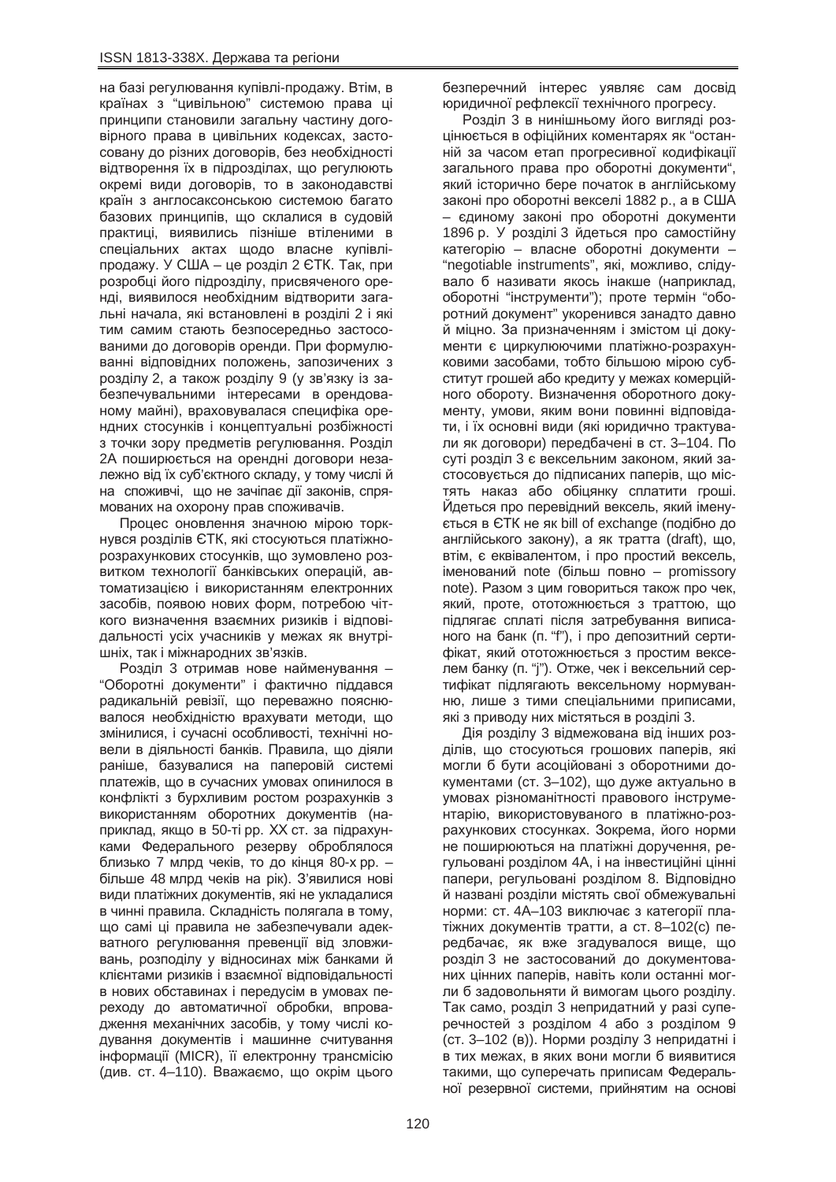на базі регулювання купівлі-продажу. Втім, в країнах з "цивільною" системою права ці принципи становили загальну частину договірного права в цивільних кодексах, застосовану до різних договорів, без необхідності відтворення їх в підрозділах, що регулюють окремі види договорів, то в законодавстві країн з англосаксонською системою багато базових принципів, що склалися в судовій практиці, виявились пізніше втіленими в спеціальних актах щодо власне купівліпродажу. У США – це розділ 2 ЄТК. Так, при розробці його підрозділу, присвяченого оренді, виявилося необхідним відтворити загальні начала, які встановлені в розділі 2 і які тим самим стають безпосередньо застосованими до договорів оренди. При формулюванні відповідних положень, запозичених з розділу 2, а також розділу 9 (у зв'язку із забезпечувальними інтересами в орендованому майні), враховувалася специфіка орендних стосунків і концептуальні розбіжності з точки зору предметів регулювання. Розділ 2А поширюється на орендні договори незалежно від їх суб'єктного складу, у тому числі й на споживчі, що не зачіпає дії законів, спрямованих на охорону прав споживачів.

Процес оновлення значною мірою торкнувся розділів ЄТК, які стосуються платіжнорозрахункових стосунків, що зумовлено розвитком технології банківських операцій, автоматизацією і використанням електронних засобів, появою нових форм, потребою чіткого визначення взаємних ризиків і відповідальності усіх учасників у межах як внутрішніх, так і міжнародних зв'язків.

Розділ 3 отримав нове найменування – "Оборотні документи" і фактично піддався радикальній ревізії. що переважно пояснювалося необхідністю врахувати методи, що змінилися, і сучасні особливості, технічні новели в діяльності банків. Правила, що діяли раніше, базувалися на паперовій системі платежів, що в сучасних умовах опинилося в конфлікті з бурхливим ростом розрахунків з використанням оборотних документів (наприклад, якщо в 50-ті рр. XX ст. за підрахунками Федерального резерву оброблялося близько 7 млрд чеків, то до кінця 80-х рр. – більше 48 млрд чеків на рік). З'явилися нові види платіжних документів, які не укладалися в чинні правила. Складність полягала в тому, що самі ці правила не забезпечували адекватного регулювання превенції від зловживань, розподілу у відносинах між банками й клієнтами ризиків і взаємної відповідальності в нових обставинах і передусім в умовах переходу до автоматичної обробки, впровадження механічних засобів, у тому числі кодування документів і машинне считування інформації (MICR), її електронну трансмісію (див. ст. 4–110). Вважаємо, що окрім цього

безперечний інтерес уявляє сам досвід юридичної рефлексії технічного прогресу.

Розділ 3 в нинішньому його вигляді розцінюється в офіційних коментарях як "останній за часом етап прогресивної кодифікації загального права про оборотні документи", який історично бере початок в англійському законі про оборотні векселі 1882 р., а в США – єдиному законі про оборотні документи 1896 p. У розділі 3 йдеться про самостійну категорію – власне оборотні документи – "negotiable instruments", які, можливо, слідувало б називати якось інакше (наприклад, оборотні "інструменти"); проте термін "оборотний документ" укоренився занадто давно й міцно. За призначенням і змістом ці документи є циркулюючими платіжно-розрахунковими засобами, тобто більшою мірою субститут грошей або кредиту у межах комерційного обороту. Визначення оборотного документу, умови, яким вони повинні відповідати, і їх основні види (які юридично трактували як договори) передбачені в ст. 3–104. По суті розділ 3 є вексельним законом, який застосовується до підписаних паперів, що містять наказ або обіцянку сплатити гроші. Йдеться про перевідний вексель, який іменується в ЄТК не як bill of exchange (подібно до англійського закону), а як тратта (draft), що, втім, є еквівалентом, і про простий вексель, iменований note (бiльш повно – promissory note). Разом з цим говориться також про чек, який, проте, ототожнюється з траттою, що підлягає сплаті після затребування виписаного на банк (п. "f"), і про депозитний сертифікат, який ототожнюється з простим векселем банку (п. "ј"). Отже, чек і вексельний сертифікат підлягають вексельному нормуванню, лише з тими спеціальними приписами. які з приводу них містяться в розділі 3.

Дія розділу 3 відмежована від інших розділів, що стосуються грошових паперів, які могли б бути асоційовані з оборотними документами (ст. 3–102), що дуже актуально в умовах різноманітності правового інструментарію, використовуваного в платіжно-розрахункових стосунках. Зокрема, його норми не поширюються на платіжні доручення, регульовані розділом 4А, і на інвестиційні цінні папери, регульовані розділом 8. Відповідно й названі розділи містять свої обмежувальні норми: ст. 4А-103 виключає з категорії платіжних документів тратти, а ст. 8–102(с) передбачає, як вже згадувалося вище, що розділ 3 не застосований до документованих цінних паперів, навіть коли останні могли б задовольняти й вимогам цього розділу. Так само, розділ 3 непридатний у разі суперечностей з розділом 4 або з розділом 9 (ст. 3–102 (в)). Норми розділу 3 непридатні і в тих межах, в яких вони могли б виявитися такими, шо суперечать приписам Федеральної резервної системи, прийнятим на основі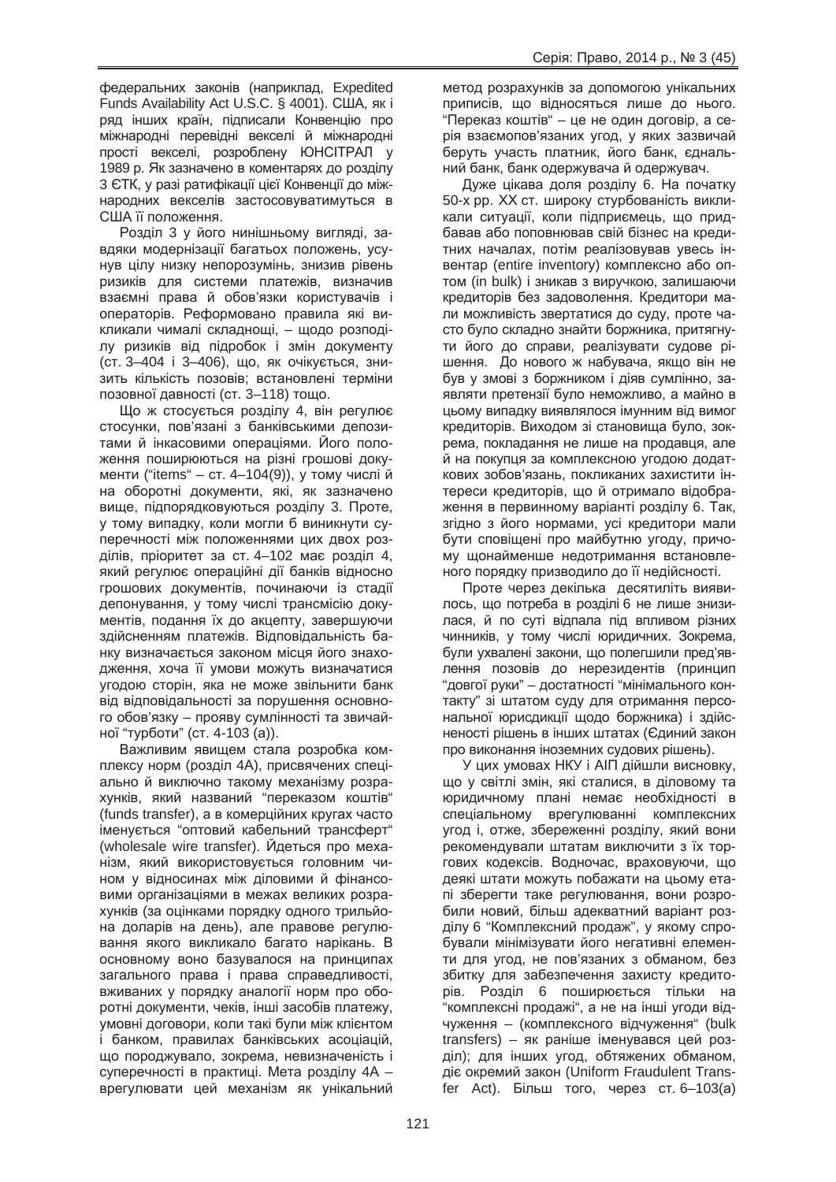федеральних законів (наприклад, Expedited Funds Availability Act U.S.C. § 4001). США, як і ряд інших країн, підписали Конвенцію про міжнародні перевідні векселі й міжнародні прості векселі, розроблену ЮНСІТРАЛ у 1989 р. Як зазначено в коментарях до розділу 3 ЄТК, у разі ратифікації цієї Конвенції до міжнародних векселів застосовуватимуться в США її положення.

Розділ 3 у його нинішньому вигляді, завдяки модернізації багатьох положень, усунув цілу низку непорозумінь, знизив рівень ризиків для системи платежів, визначив взаємні права й обов'язки користувачів і операторів. Реформовано правила які викликали чималі складнощі, – щодо розподілу ризиків від підробок і змін документу (ст. 3–404 і 3–406), що, як очікується, знизить кількість позовів: встановлені терміни позовної давності (ст. 3–118) тощо.

Шо ж стосується розділу 4, він регулює стосунки, пов'язані з банківськими депозитами й інкасовими операціями. Його положення поширюються на різні грошові документи ("items" – ст. 4–104(9)), у тому числі й на оборотні документи, які, як зазначено вище, підпорядковуються розділу 3. Проте, у тому випадку, коли могли б виникнути суперечності між положеннями цих двох розділів, пріоритет за ст. 4–102 має розділ 4, який регулює операційні дії банків відносно грошових документів, починаючи із стадії депонування, у тому числі трансмісію документів, подання їх до акцепту, завершуючи здійсненням платежів. Відповідальність банку визначається законом місця його знаходження, хоча її умови можуть визначатися угодою сторін, яка не може звільнити банк від відповідальності за порушення основного обов'язку – прояву сумлінності та звичайної "турботи" (ст. 4-103 (а)).

Важливим явищем стала розробка комплексу норм (розділ 4А), присвячених спеціально й виключно такому механізму розрахунків, який названий "переказом коштів" (funds transfer), а в комерційних кругах часто іменується "оптовий кабельний трансферт" (wholesale wire transfer). Идеться про меха-НІЗМ, ЯКИЙ ВИКОРИСТОВУЄТЬСЯ ГОЛОВНИМ ЧИном у відносинах між діловими й фінансовими організаціями в межах великих розрахунків (за оцінками порядку одного трильйона доларів на день), але правове регулювання якого викликало багато нарікань. В основному воно базувалося на принципах загального права і права справедливості, вживаних у порядку аналогії норм про оборотні документи, чеків, інші засобів платежу, умовні договори, коли такі були між клієнтом і банком, правилах банківських асоціацій, що породжувало, зокрема, невизначеність і суперечності в практиці. Мета розділу 4А – врегулювати цей механізм як унікальний

метод розрахунків за допомогою унікальних приписів, що відносяться лише до нього. "Переказ коштів" – це не один договір, а серія взаємопов'язаних угод, у яких зазвичай беруть участь платник, його банк, єднальний банк, банк одержувача й одержувач.

Дуже цікава доля розділу 6. На початку 50-х рр. XX ст. широку стурбованість викликали ситуації, коли підприємець, що придбавав або поповнював свій бізнес на кредитних началах, потім реалізовував увесь ін-BeHTap (entire inventory) комплексно або оптом (in bulk) і зникав з виручкою, залишаючи кредиторів без задоволення. Кредитори мали можливість звертатися до суду, проте часто було складно знайти боржника, притягнути його до справи, реалізувати судове рішення. До нового ж набувача, якщо він не був у змові з боржником і діяв сумлінно, заявляти претензії було неможливо, а майно в цьому випадку виявлялося імунним від вимог кредиторів. Виходом зі становища було, зокрема, покладання не лише на продавця, але й на покупця за комплексною угодою додаткових зобов'язань, покликаних захистити інтереси кредиторів, що й отримало відображення в первинному варіанті розділу 6. Так, згідно з його нормами, усі кредитори мали бути сповіщені про майбутню угоду, причому щонайменше недотримання встановленого порядку призводило до її недійсності.

Проте через декілька десятиліть виявилось, що потреба в розділі 6 не лише знизилася, й по суті відпала під впливом різних чинників, у тому числі юридичних. Зокрема, були ухвалені закони, що полегшили пред'явлення позовів до нерезидентів (принцип "довгої руки" – достатності "мінімального контакту" зі штатом суду для отримання персональної юрисдикції шодо боржника) і здійсненості рішень в інших штатах (Єдиний закон про виконання іноземних судових рішень).

У цих умовах НКУ і АІП дійшли висновку, що у світлі змін, які сталися, в діловому та юридичному плані немає необхідності в спеціальному врегулюванні комплексних угод і, отже, збереженні розділу, який вони рекомендували штатам виключити з їх торгових кодексів. Водночас, враховуючи, що деякі штати можуть побажати на цьому етапі зберегти таке регулювання, вони розробили новий, більш адекватний варіант розділу 6 "Комплексний продаж", у якому спробували мінімізувати його негативні елементи для угод, не пов'язаних з обманом, без збитку для забезпечення захисту кредиторів. Розділ 6 поширюється тільки на "комплексні продажі", а не на інші угоди відчуження – (комплексного відчуження" (bulk transfers) – як раніше іменувався цей розділ); для інших угод, обтяжених обманом. діє окремий закон (Uniform Fraudulent Transfer Act). Більш того, через ст. 6–103(а)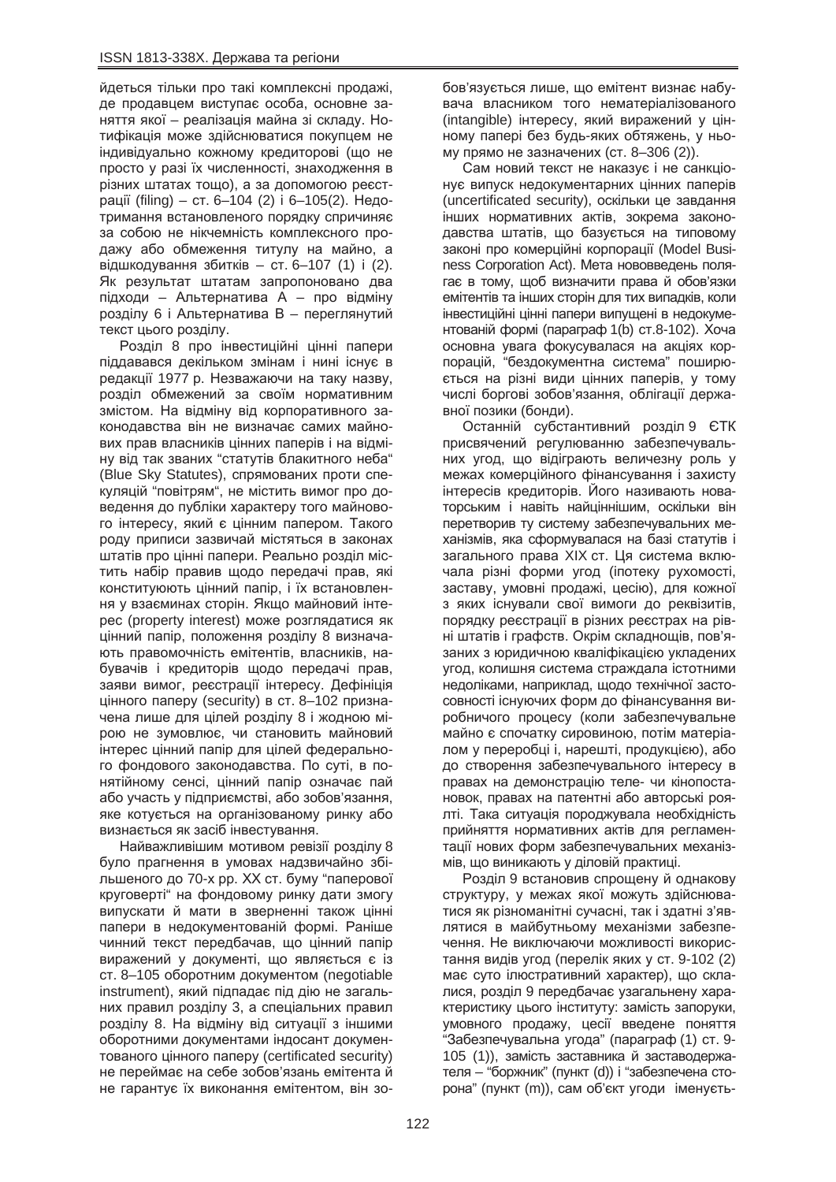йдеться тільки про такі комплексні продажі. де продавцем виступає особа, основне заняття якої – реалізація майна зі складу. Нотифікація може здійснюватися покупцем не індивідуально кожному кредиторові (що не просто у разі їх численності, знаходження в різних штатах тощо), а за допомогою реєстрації (filing) – ст. 6–104 (2) і 6–105(2). Недотримання встановленого порядку спричиняє за собою не нікчемність комплексного продажу або обмеження титулу на майно, а відшкодування збитків - ст. 6-107 (1) і (2). Як результат штатам запропоновано два підходи – Альтернатива А – про відміну розділу 6 і Альтернатива В – переглянутий текст цього розділу.

Розділ 8 про інвестиційні цінні папери піддавався декільком змінам і нині існує в редакції 1977 р. Незважаючи на таку назву. розділ обмежений за своїм нормативним змістом. На відміну від корпоративного законодавства він не визначає самих майнових прав власників цінних паперів і на відміну від так званих "статутів блакитного неба" (Blue Sky Statutes), спрямованих проти спекуляцій "повітрям", не містить вимог про доведення до публіки характеру того майнового інтересу, який є цінним папером. Такого роду приписи зазвичай містяться в законах штатів про цінні папери. Реально розділ містить набір правив щодо передачі прав, які конституюють цінний папір, і їх встановлення у взаєминах сторін. Якщо майновий інтеpec (property interest) може розглядатися як цінний папір, положення розділу 8 визначають правомочність емітентів, власників, набувачів і кредиторів щодо передачі прав. заяви вимог, реєстрації інтересу. Дефініція цінного паперу (security) в ст. 8–102 призначена лише для цілей розділу 8 і жодною мірою не зумовлює, чи становить майновий інтерес цінний папір для цілей федерального фондового законодавства. По суті, в понятійному сенсі, цінний папір означає пай або участь у підприємстві, або зобов'язання, яке котується на організованому ринку або визнається як засіб інвестування.

Найважливішим мотивом ревізії розділу 8 було прагнення в умовах надзвичайно збільшеного до 70-х рр. XX ст. буму "паперової круговерті" на фондовому ринку дати змогу випускати й мати в зверненні також цінні папери в недокументованій формі. Раніше чинний текст передбачав, що цінний папір виражений у документі, що являється є із ст. 8–105 оборотним документом (negotiable instrument), який підпадає під дію не загальних правил розділу 3, а спеціальних правил розділу 8. На відміну від ситуації з іншими оборотними документами індосант документованого цінного паперу (certificated security) не переймає на себе зобов'язань емітента й не гарантує їх виконання емітентом, він зобов'язується лише, що емітент визнає набувача власником того нематеріалізованого (intangible) інтересу, який виражений у цінному папері без будь-яких обтяжень, у ньому прямо не зазначених (ст. 8–306 (2)).

Сам новий текст не наказує і не санкціонує випуск недокументарних цінних паперів (uncertificated security), оскільки це завдання інших нормативних актів, зокрема законодавства штатів, що базується на типовому законі про комерційні корпорації (Model Business Corporation Act). Мета нововведень полягає в тому, щоб визначити права й обов'язки емітентів та інших сторін для тих випадків, коли інвестиційні цінні папери випущені в недокументованій формі (параграф 1(b) ст.8-102). Хоча основна увага фокусувалася на акціях корпорацій, "бездокументна система" поширю- $€$ ться на різні види цінних паперів, у тому числі боргові зобов'язання, облігації державної позики (бонди).

Останній субстантивний розділ 9 ЄТК присвячений регулюванню забезпечувальних угод, що відіграють величезну роль у межах комерційного фінансування і захисту інтересів кредиторів. Його називають новаторським і навіть найціннішим, оскільки він перетворив ту систему забезпечувальних механізмів, яка сформувалася на базі статутів і загального права XIX ст. Ця система включала різні форми угод (іпотеку рухомості, заставу, умовні продажі, цесію), для кожної з яких існували свої вимоги до реквізитів, порядку реєстрації в різних реєстрах на рівні штатів і графств. Окрім складнощів, пов'язаних з юридичною кваліфікацією укладених угод, колишня система страждала істотними недоліками, наприклад, щодо технічної застосовності існуючих форм до фінансування виробничого процесу (коли забезпечувальне майно є спочатку сировиною, потім матеріалом у переробці і, нарешті, продукцією), або до створення забезпечувального інтересу в правах на демонстрацію теле- чи кінопостановок, правах на патентні або авторські роялті. Така ситуація породжувала необхідність прийняття нормативних актів для регламентації нових форм забезпечувальних механізмів, що виникають у діловій практиці.

Розділ 9 встановив спрошену й однакову структуру, у межах якої можуть здійснюватися як різноманітні сучасні, так і здатні з'являтися в майбутньому механізми забезпечення. Не виключаючи можливості використання видів угод (перелік яких у ст. 9-102 (2) має суто ілюстративний характер), що склалися, розділ 9 передбачає узагальнену характеристику цього інституту: замість запоруки, умовного продажу, цесії введене поняття "Забезпечувальна угода" (параграф (1) ст. 9-105 (1)), замість заставника й заставодержателя – "боржник" (пункт (d)) і "забезпечена сторона" (пункт (m)), сам об'єкт угоди іменуєть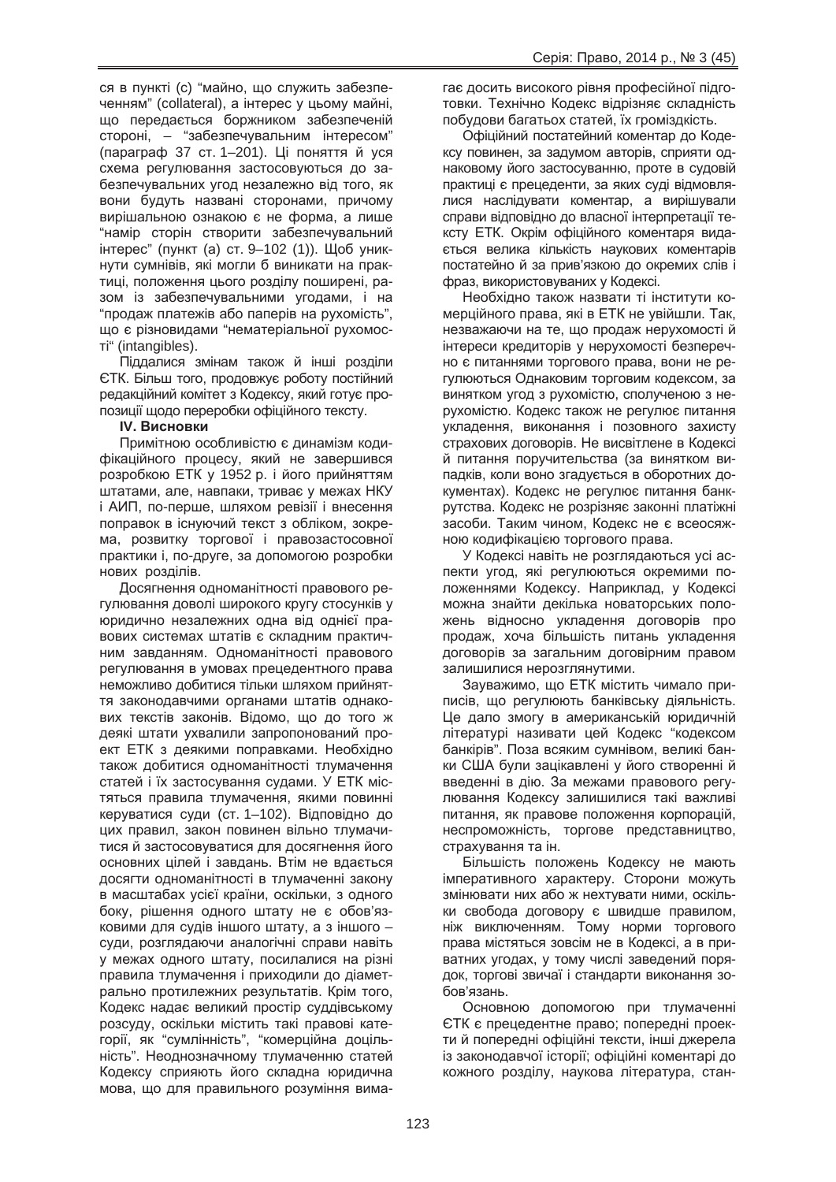ся в пункті (с) "майно, що служить забезпеченням" (collateral), а інтерес у цьому майні, що передається боржником забезпеченій стороні, – "забезпечувальним інтересом" (параграф 37 ст. 1–201). Ці поняття й уся схема регулювання застосовуються до забезпечувальних угод незалежно від того, як вони будуть названі сторонами, причому вирішальною ознакою є не форма, а лише "намір сторін створити забезпечувальний інтерес" (пункт (а) ст. 9–102 (1)). Щоб уникнути сумнівів, які могли б виникати на практиці, положення цього розділу поширені, разом із забезпечувальними угодами, і на "продаж платежів або паперів на рухомість", що є різновидами "нематеріальної рухомос-Ti" (intangibles).

Піддалися змінам також й інші розділи ЄТК. Більш того, продовжує роботу постійний редакційний комітет з Кодексу, який готує пропозиції шодо переробки офіційного тексту.

# **IV. Висновки**

Примітною особливістю є динамізм кодифікаційного процесу, який не завершився розробкою ЕТК у 1952 р. і його прийняттям штатами, але, навпаки, триває у межах НКУ і АИП, по-перше, шляхом ревізії і внесення поправок в існуючий текст з обліком, зокрема, розвитку торгової і правозастосовної практики і, по-друге, за допомогою розробки нових розділів.

Досягнення одноманітності правового регулювання доволі широкого кругу стосунків у юридично незалежних одна від однієї правових системах штатів є складним практичним завданням. Одноманітності правового регулювання в умовах прецедентного права неможливо добитися тільки шляхом прийняття законодавчими органами штатів однакових текстів законів. Відомо, що до того ж деякі штати ухвалили запропонований проект ЕТК з деякими поправками. Необхідно також добитися одноманітності тлумачення статей і їх застосування судами. У ЕТК містяться правила тлумачення, якими повинні керуватися суди (ст. 1–102). Відповідно до цих правил, закон повинен вільно тлумачитися й застосовуватися для досягнення його основних цілей і завдань. Втім не вдається досягти одноманітності в тлумаченні закону в масштабах усієї країни, оскільки, з одного боку, рішення одного штату не є обов'язковими для судів іншого штату, а з іншого суди, розглядаючи аналогічні справи навіть у межах одного штату, посилалися на різні правила тлумачення і приходили до діаметрально протилежних результатів. Крім того, Кодекс надає великий простір суддівському розсуду, оскільки містить такі правові категорії, як "сумлінність", "комерційна доцільність". Неоднозначному тлумаченню статей Кодексу сприяють його складна юридична мова, що для правильного розуміння вимагає досить високого рівня професійної підготовки. Технічно Кодекс відрізняє складність побудови багатьох статей, їх громіздкість.

Офіційний постатейний коментар до Кодексу повинен, за задумом авторів, сприяти однаковому його застосуванню, проте в судовій практиці є прецеденти, за яких суді відмовлялися наслідувати коментар, а вирішували справи відповідно до власної інтерпретації тексту ЕТК. Окрім офіційного коментаря видається велика кількість наукових коментарів постатейно й за прив'язкою до окремих слів і фраз, використовуваних у Кодексі.

Необхідно також назвати ті інститути комерційного права, які в ЕТК не увійшли. Так, незважаючи на те, що продаж нерухомості й інтереси кредиторів у нерухомості безперечно є питаннями торгового права, вони не регулюються Однаковим торговим кодексом, за винятком угод з рухомістю, сполученою з нерухомістю. Кодекс також не регулює питання укладення, виконання і позовного захисту страхових договорів. Не висвітлене в Кодексі й питання поручительства (за винятком випадків, коли воно згадується в оборотних документах). Кодекс не регулює питання банкрутства. Кодекс не розрізняє законні платіжні засоби. Таким чином, Кодекс не є всеосяжною кодифікацією торгового права.

У Кодексі навіть не розглядаються усі аспекти угод, які регулюються окремими положеннями Кодексу. Наприклад, у Кодексі можна знайти декілька новаторських положень відносно укладення договорів про продаж, хоча більшість питань укладення договорів за загальним договірним правом залишилися нерозглянутими.

Зауважимо, шо ЕТК містить чимало приписів. що регулюють банківську діяльність. Це дало змогу в американській юридичній літературі називати цей Кодекс "кодексом банкірів". Поза всяким сумнівом, великі банки США були зацікавлені у його створенні й введенні в дію. За межами правового регулювання Кодексу залишилися такі важливі питання, як правове положення корпорацій, неспроможність, торгове представництво, страхування та ін.

Більшість положень Кодексу не мають імперативного характеру. Сторони можуть змінювати них або ж нехтувати ними, оскільки свобода договору є швидше правилом, ніж виключенням. Тому норми торгового права містяться зовсім не в Кодексі, а в приватних угодах, у тому числі заведений порядок, торгові звичаї і стандарти виконання зобов'язань.

Основною допомогою при тлумаченні ЄТК є прецедентне право; попередні проекти й попередні офіційні тексти, інші джерела із законодавчої історії; офіційні коментарі до кожного розділу, наукова література, стан